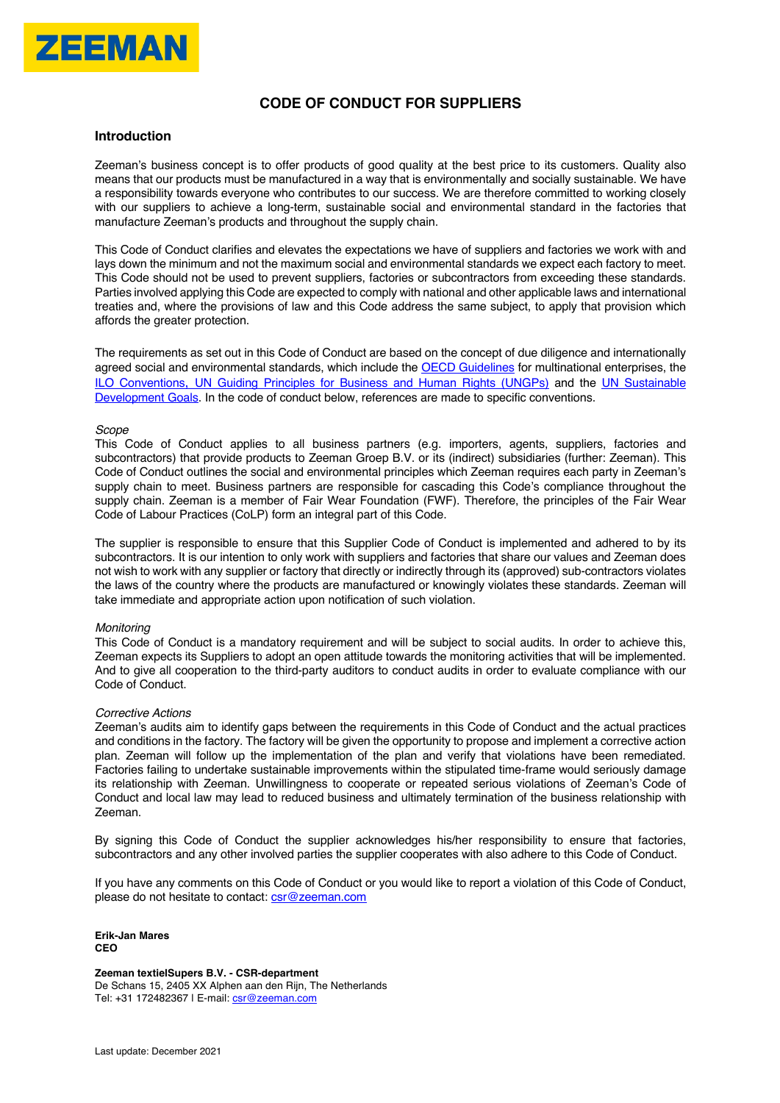

# **CODE OF CONDUCT FOR SUPPLIERS**

#### **Introduction**

Zeeman's business concept is to offer products of good quality at the best price to its customers. Quality also means that our products must be manufactured in a way that is environmentally and socially sustainable. We have a responsibility towards everyone who contributes to our success. We are therefore committed to working closely with our suppliers to achieve a long-term, sustainable social and environmental standard in the factories that manufacture Zeeman's products and throughout the supply chain.

This Code of Conduct clarifies and elevates the expectations we have of suppliers and factories we work with and lays down the minimum and not the maximum social and environmental standards we expect each factory to meet. This Code should not be used to prevent suppliers, factories or subcontractors from exceeding these standards. Parties involved applying this Code are expected to comply with national and other applicable laws and international treaties and, where the provisions of law and this Code address the same subject, to apply that provision which affords the greater protection.

The requirements as set out in this Code of Conduct are based on the concept of due diligence and internationally agreed social and environmental standards, which include the OECD Guidelines for multinational enterprises, the ILO Conventions, UN Guiding Principles for Business and Human Rights (UNGPs) and the UN Sustainable Development Goals. In the code of conduct below, references are made to specific conventions.

#### *Scope*

This Code of Conduct applies to all business partners (e.g. importers, agents, suppliers, factories and subcontractors) that provide products to Zeeman Groep B.V. or its (indirect) subsidiaries (further: Zeeman). This Code of Conduct outlines the social and environmental principles which Zeeman requires each party in Zeeman's supply chain to meet. Business partners are responsible for cascading this Code's compliance throughout the supply chain. Zeeman is a member of Fair Wear Foundation (FWF). Therefore, the principles of the Fair Wear Code of Labour Practices (CoLP) form an integral part of this Code.

The supplier is responsible to ensure that this Supplier Code of Conduct is implemented and adhered to by its subcontractors. It is our intention to only work with suppliers and factories that share our values and Zeeman does not wish to work with any supplier or factory that directly or indirectly through its (approved) sub-contractors violates the laws of the country where the products are manufactured or knowingly violates these standards. Zeeman will take immediate and appropriate action upon notification of such violation.

#### *Monitoring*

This Code of Conduct is a mandatory requirement and will be subject to social audits. In order to achieve this, Zeeman expects its Suppliers to adopt an open attitude towards the monitoring activities that will be implemented. And to give all cooperation to the third-party auditors to conduct audits in order to evaluate compliance with our Code of Conduct.

#### *Corrective Actions*

Zeeman's audits aim to identify gaps between the requirements in this Code of Conduct and the actual practices and conditions in the factory. The factory will be given the opportunity to propose and implement a corrective action plan. Zeeman will follow up the implementation of the plan and verify that violations have been remediated. Factories failing to undertake sustainable improvements within the stipulated time-frame would seriously damage its relationship with Zeeman. Unwillingness to cooperate or repeated serious violations of Zeeman's Code of Conduct and local law may lead to reduced business and ultimately termination of the business relationship with Zeeman.

By signing this Code of Conduct the supplier acknowledges his/her responsibility to ensure that factories, subcontractors and any other involved parties the supplier cooperates with also adhere to this Code of Conduct.

If you have any comments on this Code of Conduct or you would like to report a violation of this Code of Conduct, please do not hesitate to contact: csr@zeeman.com

**Erik-Jan Mares CEO** 

**Zeeman textielSupers B.V. - CSR-department**  De Schans 15, 2405 XX Alphen aan den Rijn, The Netherlands Tel: +31 172482367 | E-mail: csr@zeeman.com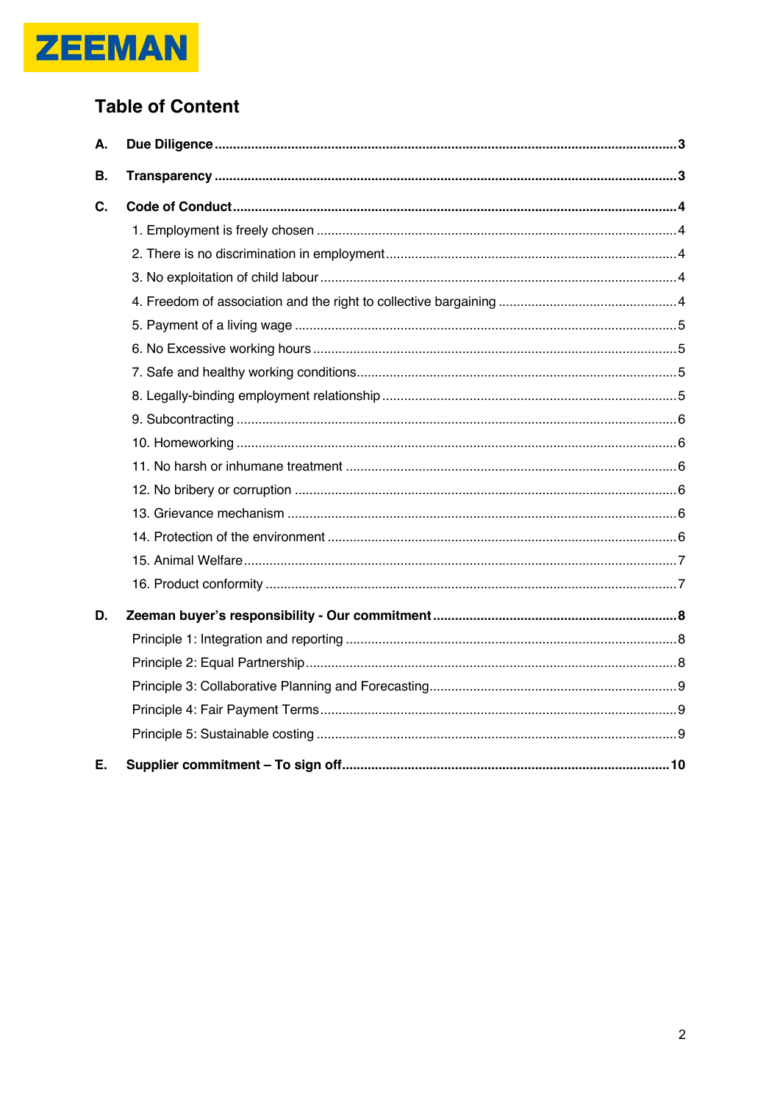

# **Table of Content**

| А.        |  |
|-----------|--|
| <b>B.</b> |  |
| C.        |  |
|           |  |
|           |  |
|           |  |
|           |  |
|           |  |
|           |  |
|           |  |
|           |  |
|           |  |
|           |  |
|           |  |
|           |  |
|           |  |
|           |  |
|           |  |
|           |  |
| D.        |  |
|           |  |
|           |  |
|           |  |
|           |  |
|           |  |
| Ε.        |  |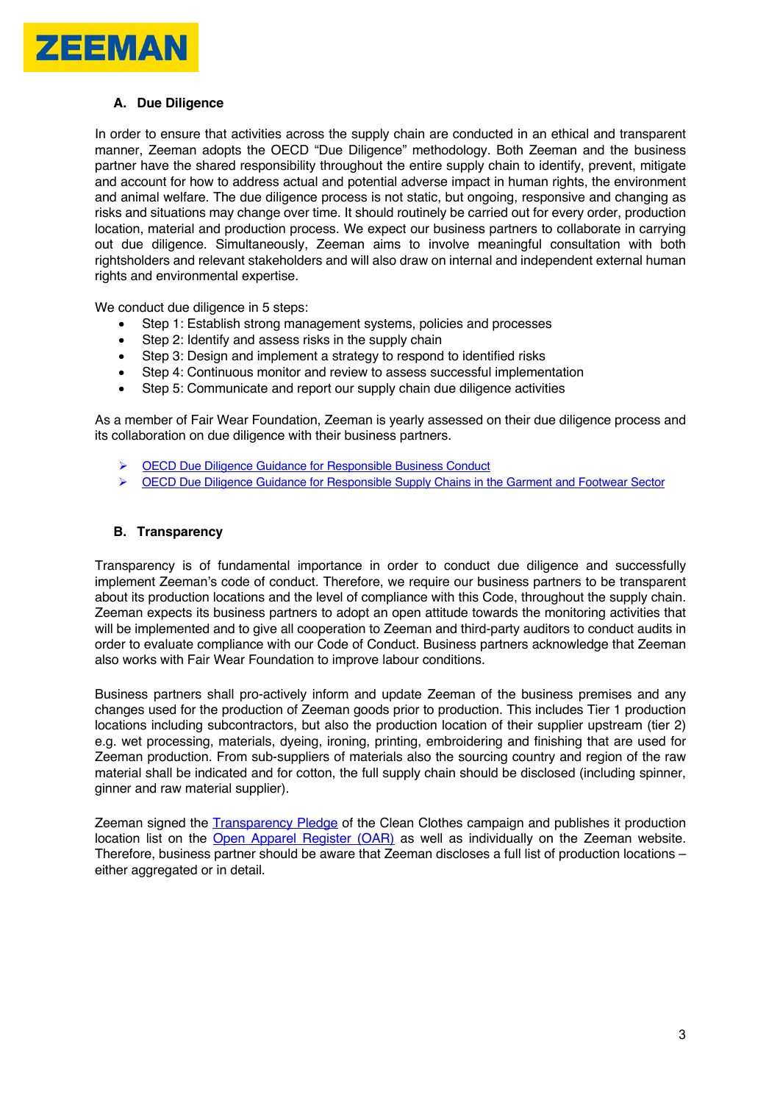

## **A. Due Diligence**

In order to ensure that activities across the supply chain are conducted in an ethical and transparent manner, Zeeman adopts the OECD "Due Diligence" methodology. Both Zeeman and the business partner have the shared responsibility throughout the entire supply chain to identify, prevent, mitigate and account for how to address actual and potential adverse impact in human rights, the environment and animal welfare. The due diligence process is not static, but ongoing, responsive and changing as risks and situations may change over time. It should routinely be carried out for every order, production location, material and production process. We expect our business partners to collaborate in carrying out due diligence. Simultaneously, Zeeman aims to involve meaningful consultation with both rightsholders and relevant stakeholders and will also draw on internal and independent external human rights and environmental expertise.

We conduct due diligence in 5 steps:

- Step 1: Establish strong management systems, policies and processes
- Step 2: Identify and assess risks in the supply chain
- Step 3: Design and implement a strategy to respond to identified risks
- Step 4: Continuous monitor and review to assess successful implementation
- Step 5: Communicate and report our supply chain due diligence activities

As a member of Fair Wear Foundation, Zeeman is yearly assessed on their due diligence process and its collaboration on due diligence with their business partners.

- **OECD Due Diligence Guidance for Responsible Business Conduct**
- $\triangleright$  OECD Due Diligence Guidance for Responsible Supply Chains in the Garment and Footwear Sector

#### **B. Transparency**

Transparency is of fundamental importance in order to conduct due diligence and successfully implement Zeeman's code of conduct. Therefore, we require our business partners to be transparent about its production locations and the level of compliance with this Code, throughout the supply chain. Zeeman expects its business partners to adopt an open attitude towards the monitoring activities that will be implemented and to give all cooperation to Zeeman and third-party auditors to conduct audits in order to evaluate compliance with our Code of Conduct. Business partners acknowledge that Zeeman also works with Fair Wear Foundation to improve labour conditions.

Business partners shall pro-actively inform and update Zeeman of the business premises and any changes used for the production of Zeeman goods prior to production. This includes Tier 1 production locations including subcontractors, but also the production location of their supplier upstream (tier 2) e.g. wet processing, materials, dyeing, ironing, printing, embroidering and finishing that are used for Zeeman production. From sub-suppliers of materials also the sourcing country and region of the raw material shall be indicated and for cotton, the full supply chain should be disclosed (including spinner, ginner and raw material supplier).

Zeeman signed the Transparency Pledge of the Clean Clothes campaign and publishes it production location list on the Open Apparel Register (OAR) as well as individually on the Zeeman website. Therefore, business partner should be aware that Zeeman discloses a full list of production locations – either aggregated or in detail.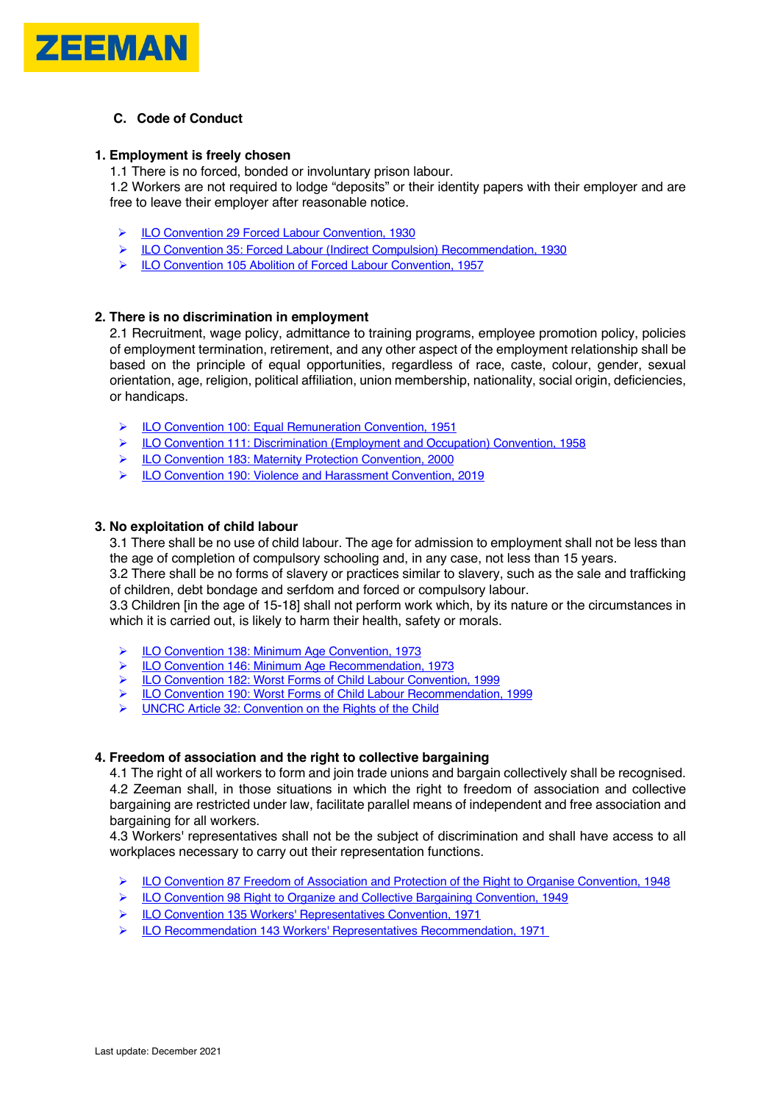

## **C. Code of Conduct**

## **1. Employment is freely chosen**

1.1 There is no forced, bonded or involuntary prison labour.

1.2 Workers are not required to lodge "deposits" or their identity papers with their employer and are free to leave their employer after reasonable notice.

- ▶ ILO Convention 29 Forced Labour Convention, 1930
- Ø ILO Convention 35: Forced Labour (Indirect Compulsion) Recommendation, 1930
- Ø ILO Convention 105 Abolition of Forced Labour Convention, 1957

## **2. There is no discrimination in employment**

2.1 Recruitment, wage policy, admittance to training programs, employee promotion policy, policies of employment termination, retirement, and any other aspect of the employment relationship shall be based on the principle of equal opportunities, regardless of race, caste, colour, gender, sexual orientation, age, religion, political affiliation, union membership, nationality, social origin, deficiencies, or handicaps.

- ▶ ILO Convention 100: Equal Remuneration Convention, 1951
- Ø ILO Convention 111: Discrimination (Employment and Occupation) Convention, 1958
- Ø ILO Convention 183: Maternity Protection Convention, 2000
- Ø ILO Convention 190: Violence and Harassment Convention, 2019

## **3. No exploitation of child labour**

3.1 There shall be no use of child labour. The age for admission to employment shall not be less than the age of completion of compulsory schooling and, in any case, not less than 15 years.

3.2 There shall be no forms of slavery or practices similar to slavery, such as the sale and trafficking of children, debt bondage and serfdom and forced or compulsory labour.

3.3 Children [in the age of 15-18] shall not perform work which, by its nature or the circumstances in which it is carried out, is likely to harm their health, safety or morals.

- ▶ ILO Convention 138: Minimum Age Convention, 1973
- Ø ILO Convention 146: Minimum Age Recommendation, 1973
- Ø ILO Convention 182: Worst Forms of Child Labour Convention, 1999
- ▶ ILO Convention 190: Worst Forms of Child Labour Recommendation, 1999
- Ø UNCRC Article 32: Convention on the Rights of the Child

#### **4. Freedom of association and the right to collective bargaining**

4.1 The right of all workers to form and join trade unions and bargain collectively shall be recognised. 4.2 Zeeman shall, in those situations in which the right to freedom of association and collective bargaining are restricted under law, facilitate parallel means of independent and free association and bargaining for all workers.

4.3 Workers' representatives shall not be the subject of discrimination and shall have access to all workplaces necessary to carry out their representation functions.

- Ø ILO Convention 87 Freedom of Association and Protection of the Right to Organise Convention, 1948
- Ø ILO Convention 98 Right to Organize and Collective Bargaining Convention, 1949
- Ø ILO Convention 135 Workers' Representatives Convention, 1971
- Ø ILO Recommendation 143 Workers' Representatives Recommendation, 1971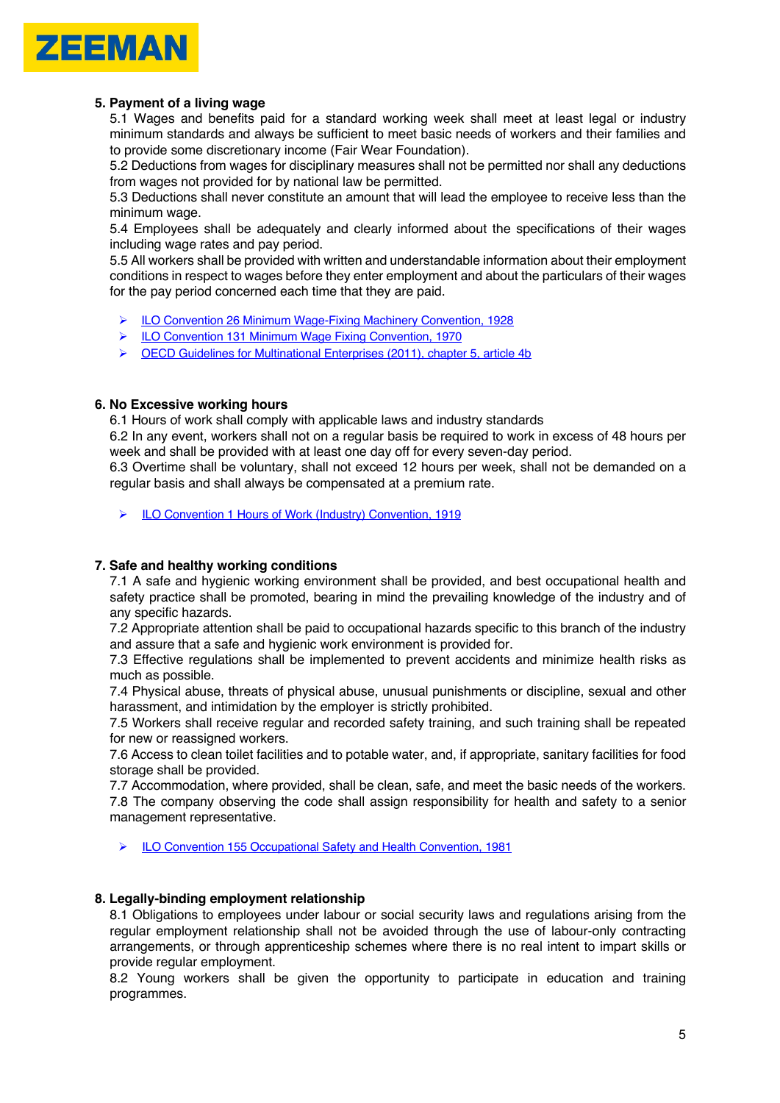

## **5. Payment of a living wage**

5.1 Wages and benefits paid for a standard working week shall meet at least legal or industry minimum standards and always be sufficient to meet basic needs of workers and their families and to provide some discretionary income (Fair Wear Foundation).

5.2 Deductions from wages for disciplinary measures shall not be permitted nor shall any deductions from wages not provided for by national law be permitted.

5.3 Deductions shall never constitute an amount that will lead the employee to receive less than the minimum wage.

5.4 Employees shall be adequately and clearly informed about the specifications of their wages including wage rates and pay period.

5.5 All workers shall be provided with written and understandable information about their employment conditions in respect to wages before they enter employment and about the particulars of their wages for the pay period concerned each time that they are paid.

- Ø ILO Convention 26 Minimum Wage-Fixing Machinery Convention, 1928
- Ø ILO Convention 131 Minimum Wage Fixing Convention, 1970
- Ø OECD Guidelines for Multinational Enterprises (2011), chapter 5, article 4b

## **6. No Excessive working hours**

6.1 Hours of work shall comply with applicable laws and industry standards

6.2 In any event, workers shall not on a regular basis be required to work in excess of 48 hours per week and shall be provided with at least one day off for every seven-day period.

6.3 Overtime shall be voluntary, shall not exceed 12 hours per week, shall not be demanded on a regular basis and shall always be compensated at a premium rate.

Ø ILO Convention 1 Hours of Work (Industry) Convention, 1919

## **7. Safe and healthy working conditions**

7.1 A safe and hygienic working environment shall be provided, and best occupational health and safety practice shall be promoted, bearing in mind the prevailing knowledge of the industry and of any specific hazards.

7.2 Appropriate attention shall be paid to occupational hazards specific to this branch of the industry and assure that a safe and hygienic work environment is provided for.

7.3 Effective regulations shall be implemented to prevent accidents and minimize health risks as much as possible.

7.4 Physical abuse, threats of physical abuse, unusual punishments or discipline, sexual and other harassment, and intimidation by the employer is strictly prohibited.

7.5 Workers shall receive regular and recorded safety training, and such training shall be repeated for new or reassigned workers.

7.6 Access to clean toilet facilities and to potable water, and, if appropriate, sanitary facilities for food storage shall be provided.

7.7 Accommodation, where provided, shall be clean, safe, and meet the basic needs of the workers. 7.8 The company observing the code shall assign responsibility for health and safety to a senior management representative.

Ø ILO Convention 155 Occupational Safety and Health Convention, 1981

## **8. Legally-binding employment relationship**

8.1 Obligations to employees under labour or social security laws and regulations arising from the regular employment relationship shall not be avoided through the use of labour-only contracting arrangements, or through apprenticeship schemes where there is no real intent to impart skills or provide regular employment.

8.2 Young workers shall be given the opportunity to participate in education and training programmes.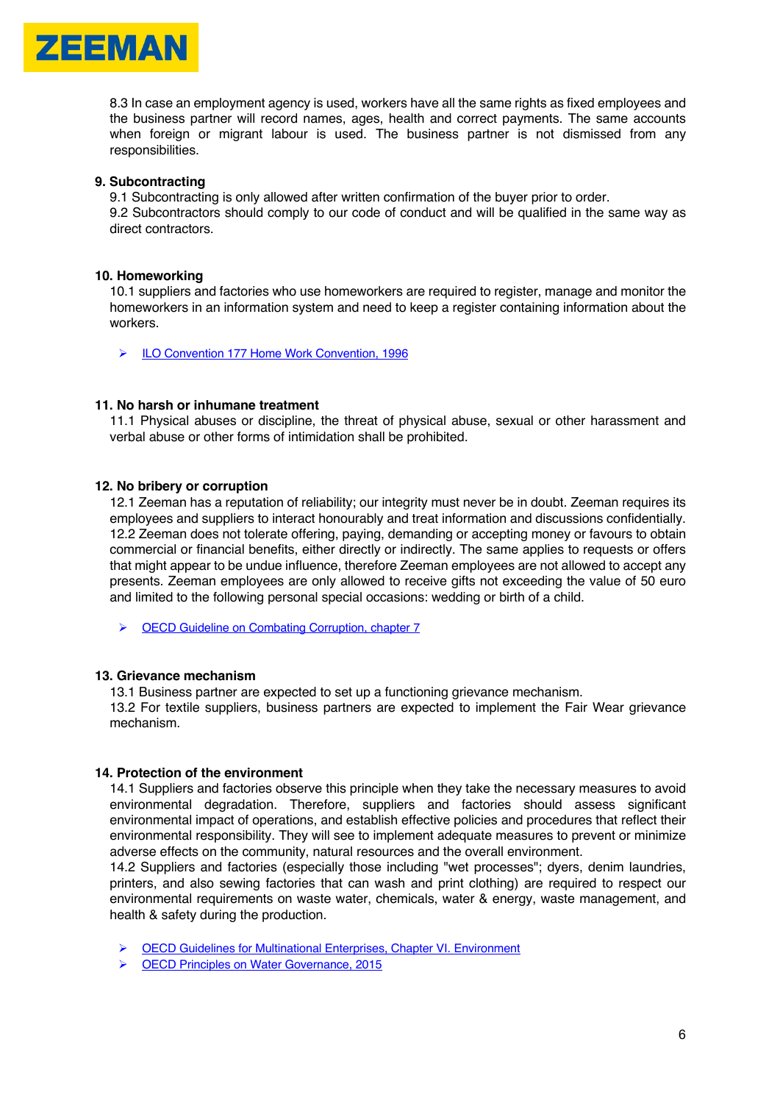

8.3 In case an employment agency is used, workers have all the same rights as fixed employees and the business partner will record names, ages, health and correct payments. The same accounts when foreign or migrant labour is used. The business partner is not dismissed from any responsibilities.

#### **9. Subcontracting**

9.1 Subcontracting is only allowed after written confirmation of the buyer prior to order.

9.2 Subcontractors should comply to our code of conduct and will be qualified in the same way as direct contractors.

#### **10. Homeworking**

10.1 suppliers and factories who use homeworkers are required to register, manage and monitor the homeworkers in an information system and need to keep a register containing information about the workers.

Ø ILO Convention 177 Home Work Convention, 1996

#### **11. No harsh or inhumane treatment**

11.1 Physical abuses or discipline, the threat of physical abuse, sexual or other harassment and verbal abuse or other forms of intimidation shall be prohibited.

#### **12. No bribery or corruption**

12.1 Zeeman has a reputation of reliability; our integrity must never be in doubt. Zeeman requires its employees and suppliers to interact honourably and treat information and discussions confidentially. 12.2 Zeeman does not tolerate offering, paying, demanding or accepting money or favours to obtain commercial or financial benefits, either directly or indirectly. The same applies to requests or offers that might appear to be undue influence, therefore Zeeman employees are not allowed to accept any presents. Zeeman employees are only allowed to receive gifts not exceeding the value of 50 euro and limited to the following personal special occasions: wedding or birth of a child.

Ø OECD Guideline on Combating Corruption, chapter 7

#### **13. Grievance mechanism**

13.1 Business partner are expected to set up a functioning grievance mechanism.

13.2 For textile suppliers, business partners are expected to implement the Fair Wear grievance mechanism.

## **14. Protection of the environment**

14.1 Suppliers and factories observe this principle when they take the necessary measures to avoid environmental degradation. Therefore, suppliers and factories should assess significant environmental impact of operations, and establish effective policies and procedures that reflect their environmental responsibility. They will see to implement adequate measures to prevent or minimize adverse effects on the community, natural resources and the overall environment.

14.2 Suppliers and factories (especially those including "wet processes"; dyers, denim laundries, printers, and also sewing factories that can wash and print clothing) are required to respect our environmental requirements on waste water, chemicals, water & energy, waste management, and health & safety during the production.

- Ø OECD Guidelines for Multinational Enterprises, Chapter VI. Environment
- Ø OECD Principles on Water Governance, 2015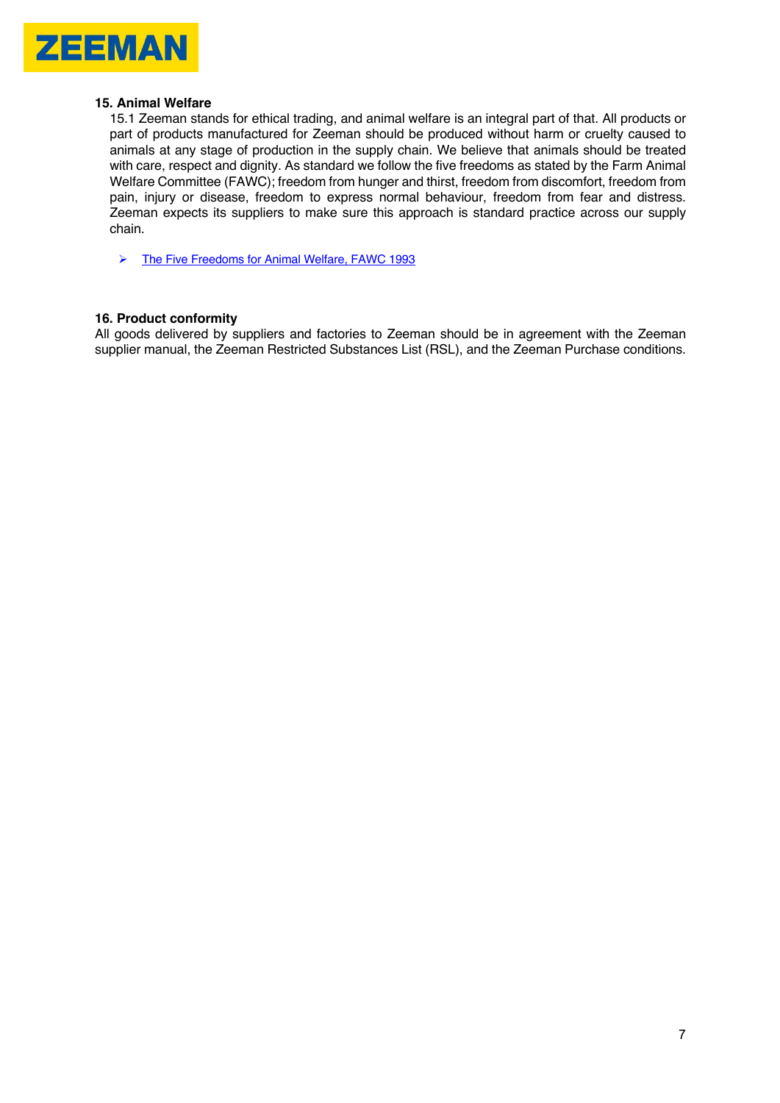

#### **15. Animal Welfare**

15.1 Zeeman stands for ethical trading, and animal welfare is an integral part of that. All products or part of products manufactured for Zeeman should be produced without harm or cruelty caused to animals at any stage of production in the supply chain. We believe that animals should be treated with care, respect and dignity. As standard we follow the five freedoms as stated by the Farm Animal Welfare Committee (FAWC); freedom from hunger and thirst, freedom from discomfort, freedom from pain, injury or disease, freedom to express normal behaviour, freedom from fear and distress. Zeeman expects its suppliers to make sure this approach is standard practice across our supply chain.

Ø The Five Freedoms for Animal Welfare, FAWC 1993

# **16. Product conformity**

All goods delivered by suppliers and factories to Zeeman should be in agreement with the Zeeman supplier manual, the Zeeman Restricted Substances List (RSL), and the Zeeman Purchase conditions.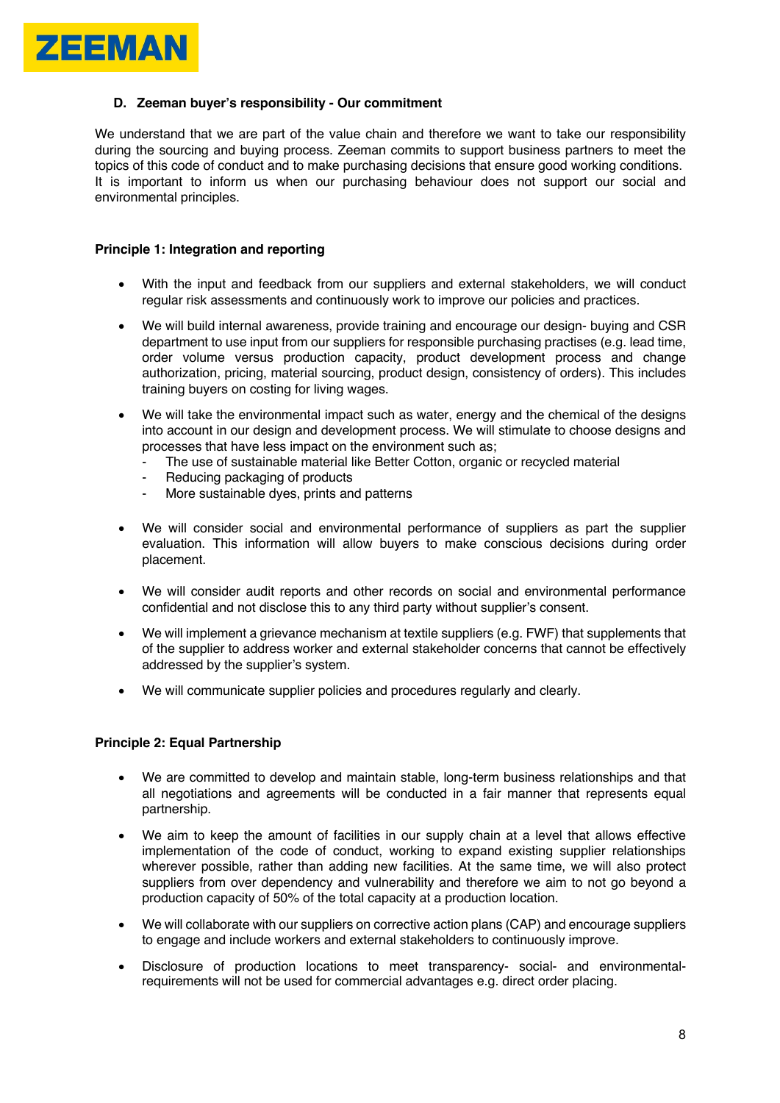

## **D. Zeeman buyer's responsibility - Our commitment**

We understand that we are part of the value chain and therefore we want to take our responsibility during the sourcing and buying process. Zeeman commits to support business partners to meet the topics of this code of conduct and to make purchasing decisions that ensure good working conditions. It is important to inform us when our purchasing behaviour does not support our social and environmental principles.

#### **Principle 1: Integration and reporting**

- With the input and feedback from our suppliers and external stakeholders, we will conduct regular risk assessments and continuously work to improve our policies and practices.
- We will build internal awareness, provide training and encourage our design- buying and CSR department to use input from our suppliers for responsible purchasing practises (e.g. lead time, order volume versus production capacity, product development process and change authorization, pricing, material sourcing, product design, consistency of orders). This includes training buyers on costing for living wages.
- We will take the environmental impact such as water, energy and the chemical of the designs into account in our design and development process. We will stimulate to choose designs and processes that have less impact on the environment such as;
	- The use of sustainable material like Better Cotton, organic or recycled material
	- Reducing packaging of products
	- More sustainable dyes, prints and patterns
- We will consider social and environmental performance of suppliers as part the supplier evaluation. This information will allow buyers to make conscious decisions during order placement.
- We will consider audit reports and other records on social and environmental performance confidential and not disclose this to any third party without supplier's consent.
- We will implement a grievance mechanism at textile suppliers (e.g. FWF) that supplements that of the supplier to address worker and external stakeholder concerns that cannot be effectively addressed by the supplier's system.
- We will communicate supplier policies and procedures regularly and clearly.

## **Principle 2: Equal Partnership**

- We are committed to develop and maintain stable, long-term business relationships and that all negotiations and agreements will be conducted in a fair manner that represents equal partnership.
- We aim to keep the amount of facilities in our supply chain at a level that allows effective implementation of the code of conduct, working to expand existing supplier relationships wherever possible, rather than adding new facilities. At the same time, we will also protect suppliers from over dependency and vulnerability and therefore we aim to not go beyond a production capacity of 50% of the total capacity at a production location.
- We will collaborate with our suppliers on corrective action plans (CAP) and encourage suppliers to engage and include workers and external stakeholders to continuously improve.
- Disclosure of production locations to meet transparency- social- and environmentalrequirements will not be used for commercial advantages e.g. direct order placing.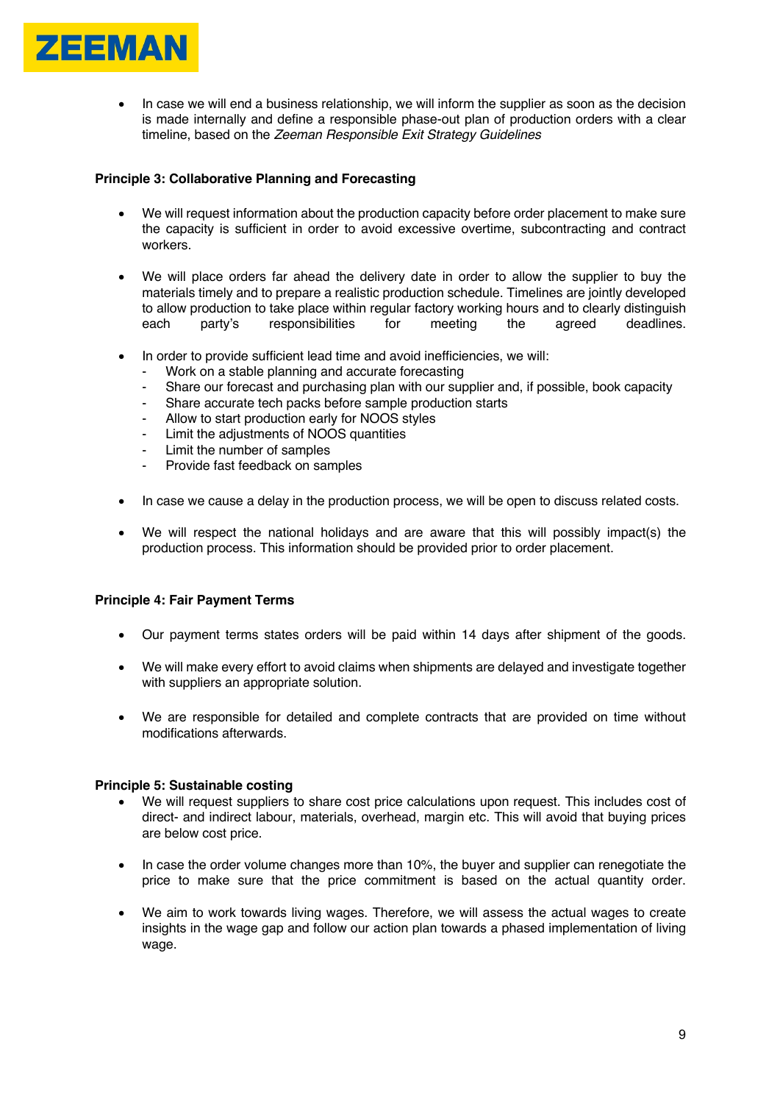

• In case we will end a business relationship, we will inform the supplier as soon as the decision is made internally and define a responsible phase-out plan of production orders with a clear timeline, based on the *Zeeman Responsible Exit Strategy Guidelines*

## **Principle 3: Collaborative Planning and Forecasting**

- We will request information about the production capacity before order placement to make sure the capacity is sufficient in order to avoid excessive overtime, subcontracting and contract workers.
- We will place orders far ahead the delivery date in order to allow the supplier to buy the materials timely and to prepare a realistic production schedule. Timelines are jointly developed to allow production to take place within regular factory working hours and to clearly distinguish each party's responsibilities for meeting the agreed deadlines.
- In order to provide sufficient lead time and avoid inefficiencies, we will:
	- Work on a stable planning and accurate forecasting
	- Share our forecast and purchasing plan with our supplier and, if possible, book capacity
	- Share accurate tech packs before sample production starts
	- Allow to start production early for NOOS styles
	- Limit the adjustments of NOOS quantities
	- Limit the number of samples
	- Provide fast feedback on samples
- In case we cause a delay in the production process, we will be open to discuss related costs.
- We will respect the national holidays and are aware that this will possibly impact(s) the production process. This information should be provided prior to order placement.

#### **Principle 4: Fair Payment Terms**

- Our payment terms states orders will be paid within 14 days after shipment of the goods.
- We will make every effort to avoid claims when shipments are delayed and investigate together with suppliers an appropriate solution.
- We are responsible for detailed and complete contracts that are provided on time without modifications afterwards.

#### **Principle 5: Sustainable costing**

- We will request suppliers to share cost price calculations upon request. This includes cost of direct- and indirect labour, materials, overhead, margin etc. This will avoid that buying prices are below cost price.
- In case the order volume changes more than 10%, the buyer and supplier can renegotiate the price to make sure that the price commitment is based on the actual quantity order.
- We aim to work towards living wages. Therefore, we will assess the actual wages to create insights in the wage gap and follow our action plan towards a phased implementation of living wage.